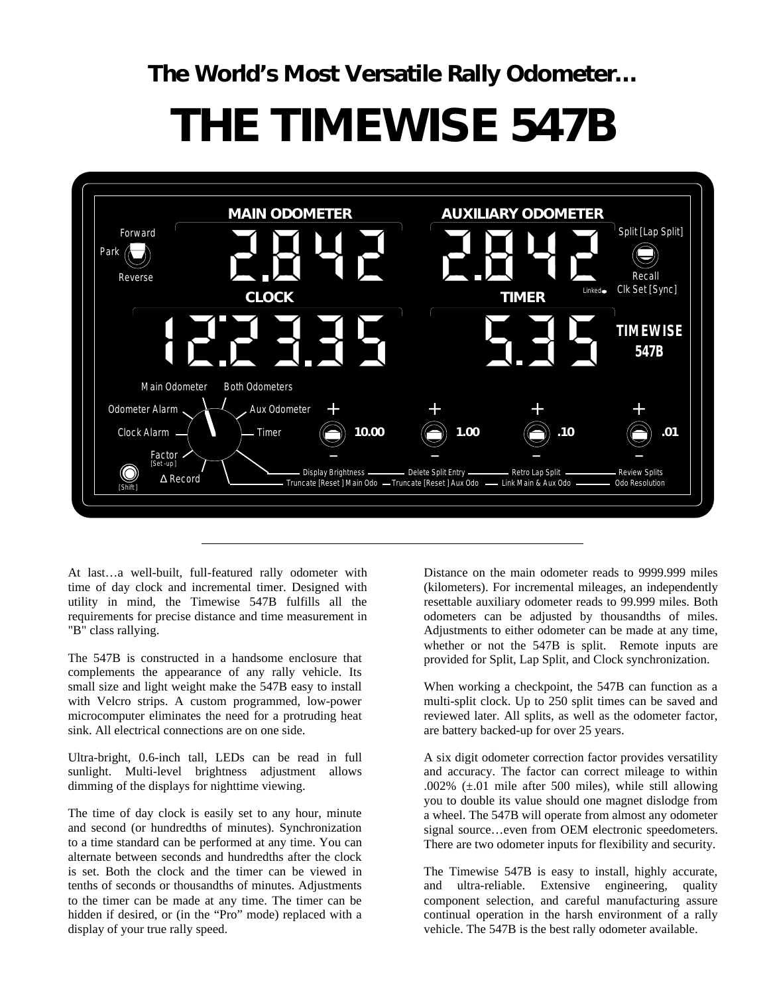**The World's Most Versatile Rally Odometer…**

# **THE TIMEWISE 547B**



At last…a well-built, full-featured rally odometer with time of day clock and incremental timer. Designed with utility in mind, the Timewise 547B fulfills all the requirements for precise distance and time measurement in "B" class rallying.

The 547B is constructed in a handsome enclosure that complements the appearance of any rally vehicle. Its small size and light weight make the 547B easy to install with Velcro strips. A custom programmed, low-power microcomputer eliminates the need for a protruding heat sink. All electrical connections are on one side.

Ultra-bright, 0.6-inch tall, LEDs can be read in full sunlight. Multi-level brightness adjustment allows dimming of the displays for nighttime viewing.

The time of day clock is easily set to any hour, minute and second (or hundredths of minutes). Synchronization to a time standard can be performed at any time. You can alternate between seconds and hundredths after the clock is set. Both the clock and the timer can be viewed in tenths of seconds or thousandths of minutes. Adjustments to the timer can be made at any time. The timer can be hidden if desired, or (in the "Pro" mode) replaced with a display of your true rally speed.

Distance on the main odometer reads to 9999.999 miles (kilometers). For incremental mileages, an independently resettable auxiliary odometer reads to 99.999 miles. Both odometers can be adjusted by thousandths of miles. Adjustments to either odometer can be made at any time, whether or not the 547B is split. Remote inputs are provided for Split, Lap Split, and Clock synchronization.

When working a checkpoint, the 547B can function as a multi-split clock. Up to 250 split times can be saved and reviewed later. All splits, as well as the odometer factor, are battery backed-up for over 25 years.

A six digit odometer correction factor provides versatility and accuracy. The factor can correct mileage to within .002% (±.01 mile after 500 miles), while still allowing you to double its value should one magnet dislodge from a wheel. The 547B will operate from almost any odometer signal source…even from OEM electronic speedometers. There are two odometer inputs for flexibility and security.

The Timewise 547B is easy to install, highly accurate, and ultra-reliable. Extensive engineering, quality component selection, and careful manufacturing assure continual operation in the harsh environment of a rally vehicle. The 547B is the best rally odometer available.